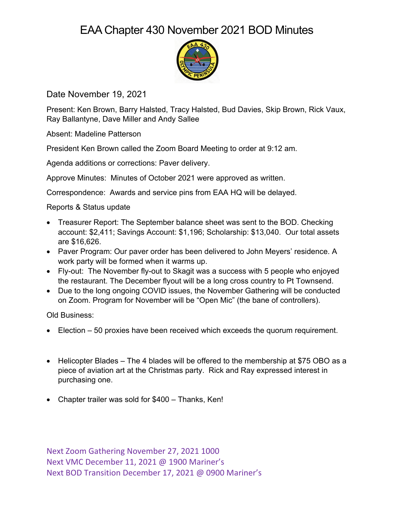## EAA Chapter 430 November 2021 BOD Minutes



Date November 19, 2021

Present: Ken Brown, Barry Halsted, Tracy Halsted, Bud Davies, Skip Brown, Rick Vaux, Ray Ballantyne, Dave Miller and Andy Sallee

Absent: Madeline Patterson

President Ken Brown called the Zoom Board Meeting to order at 9:12 am.

Agenda additions or corrections: Paver delivery.

Approve Minutes: Minutes of October 2021 were approved as written.

Correspondence: Awards and service pins from EAA HQ will be delayed.

Reports & Status update

- Treasurer Report: The September balance sheet was sent to the BOD. Checking account: \$2,411; Savings Account: \$1,196; Scholarship: \$13,040. Our total assets are \$16,626.
- Paver Program: Our paver order has been delivered to John Meyers' residence. A work party will be formed when it warms up.
- Fly-out: The November fly-out to Skagit was a success with 5 people who enjoyed the restaurant. The December flyout will be a long cross country to Pt Townsend.
- Due to the long ongoing COVID issues, the November Gathering will be conducted on Zoom. Program for November will be "Open Mic" (the bane of controllers).

Old Business:

- Election 50 proxies have been received which exceeds the quorum requirement.
- Helicopter Blades The 4 blades will be offered to the membership at \$75 OBO as a piece of aviation art at the Christmas party. Rick and Ray expressed interest in purchasing one.
- Chapter trailer was sold for \$400 Thanks, Ken!

Next Zoom Gathering November 27, 2021 1000 Next VMC December 11, 2021 @ 1900 Mariner's Next BOD Transition December 17, 2021 @ 0900 Mariner's